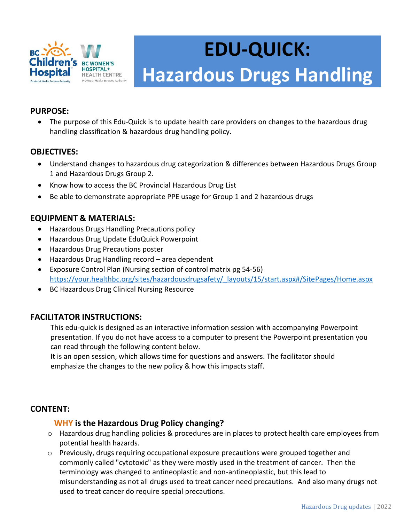

# **EDU-QUICK: Hazardous Drugs Handling**

# **PURPOSE:**

 The purpose of this Edu-Quick is to update health care providers on changes to the hazardous drug handling classification & hazardous drug handling policy.

#### **OBJECTIVES:**

- Understand changes to hazardous drug categorization & differences between Hazardous Drugs Group 1 and Hazardous Drugs Group 2.
- Know how to access the BC Provincial Hazardous Drug List
- Be able to demonstrate appropriate PPE usage for Group 1 and 2 hazardous drugs

# **EQUIPMENT & MATERIALS:**

- Hazardous Drugs Handling Precautions policy
- Hazardous Drug Update EduQuick Powerpoint
- Hazardous Drug Precautions poster
- Hazardous Drug Handling record area dependent
- Exposure Control Plan (Nursing section of control matrix pg 54-56) [https://your.healthbc.org/sites/hazardousdrugsafety/\\_layouts/15/start.aspx#/SitePages/Home.aspx](https://your.healthbc.org/sites/hazardousdrugsafety/_layouts/15/start.aspx#/SitePages/Home.aspx)
- BC Hazardous Drug Clinical Nursing Resource

#### **FACILITATOR INSTRUCTIONS:**

This edu-quick is designed as an interactive information session with accompanying Powerpoint presentation. If you do not have access to a computer to present the Powerpoint presentation you can read through the following content below.

It is an open session, which allows time for questions and answers. The facilitator should emphasize the changes to the new policy & how this impacts staff.

#### **CONTENT:**

#### **WHY is the Hazardous Drug Policy changing?**

- o Hazardous drug handling policies & procedures are in places to protect health care employees from potential health hazards.
- o Previously, drugs requiring occupational exposure precautions were grouped together and commonly called "cytotoxic" as they were mostly used in the treatment of cancer. Then the terminology was changed to antineoplastic and non-antineoplastic, but this lead to misunderstanding as not all drugs used to treat cancer need precautions. And also many drugs not used to treat cancer do require special precautions.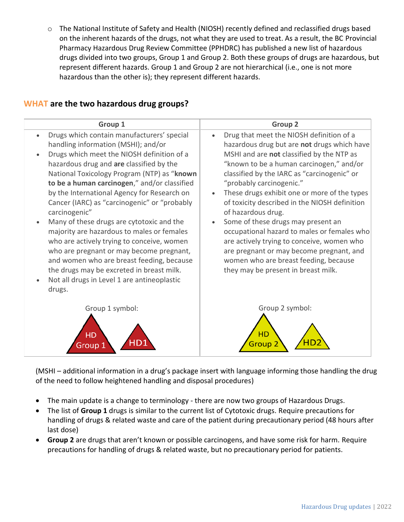o The National Institute of Safety and Health (NIOSH) recently defined and reclassified drugs based on the inherent hazards of the drugs, not what they are used to treat. As a result, the BC Provincial Pharmacy Hazardous Drug Review Committee (PPHDRC) has published a new list of hazardous drugs divided into two groups, Group 1 and Group 2. Both these groups of drugs are hazardous, but represent different hazards. Group 1 and Group 2 are not hierarchical (i.e., one is not more hazardous than the other is); they represent different hazards.

| Group 1                                      | <b>Group 2</b>                                |
|----------------------------------------------|-----------------------------------------------|
| Drugs which contain manufacturers' special   | Drug that meet the NIOSH definition of a      |
| $\bullet$                                    | $\bullet$                                     |
| handling information (MSHI); and/or          | hazardous drug but are not drugs which have   |
| Drugs which meet the NIOSH definition of a   | MSHI and are not classified by the NTP as     |
| hazardous drug and are classified by the     | "known to be a human carcinogen," and/or      |
| National Toxicology Program (NTP) as "known  | classified by the IARC as "carcinogenic" or   |
| to be a human carcinogen," and/or classified | "probably carcinogenic."                      |
| by the International Agency for Research on  | These drugs exhibit one or more of the types  |
| Cancer (IARC) as "carcinogenic" or "probably | $\bullet$                                     |
| carcinogenic"                                | of toxicity described in the NIOSH definition |
| Many of these drugs are cytotoxic and the    | of hazardous drug.                            |
| majority are hazardous to males or females   | Some of these drugs may present an            |
| who are actively trying to conceive, women   | $\bullet$                                     |
| who are pregnant or may become pregnant,     | occupational hazard to males or females who   |
| and women who are breast feeding, because    | are actively trying to conceive, women who    |
| the drugs may be excreted in breast milk.    | are pregnant or may become pregnant, and      |
| Not all drugs in Level 1 are antineoplastic  | women who are breast feeding, because         |
| drugs.                                       | they may be present in breast milk.           |
| Group 1 symbol:                              | Group 2 symbol:                               |
| <b>HD</b>                                    | HD                                            |
| Group                                        | Group                                         |

#### **WHAT are the two hazardous drug groups?**

(MSHI – additional information in a drug's package insert with language informing those handling the drug of the need to follow heightened handling and disposal procedures)

- The main update is a change to terminology there are now two groups of Hazardous Drugs.
- The list of **Group 1** drugs is similar to the current list of Cytotoxic drugs. Require precautions for handling of drugs & related waste and care of the patient during precautionary period (48 hours after last dose)
- **Group 2** are drugs that aren't known or possible carcinogens, and have some risk for harm. Require precautions for handling of drugs & related waste, but no precautionary period for patients.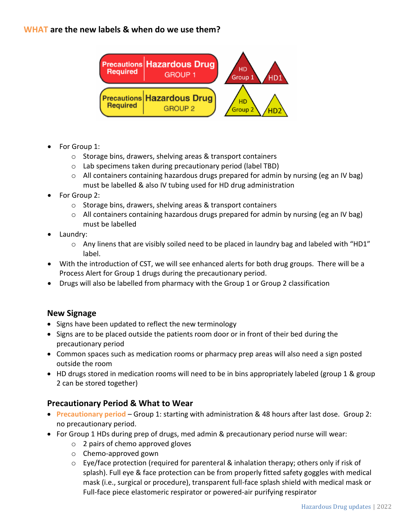# **WHAT are the new labels & when do we use them?**



- For Group 1:
	- o Storage bins, drawers, shelving areas & transport containers
	- o Lab specimens taken during precautionary period (label TBD)
	- $\circ$  All containers containing hazardous drugs prepared for admin by nursing (eg an IV bag) must be labelled & also IV tubing used for HD drug administration
- For Group 2:
	- o Storage bins, drawers, shelving areas & transport containers
	- o All containers containing hazardous drugs prepared for admin by nursing (eg an IV bag) must be labelled
- Laundry:
	- $\circ$  Any linens that are visibly soiled need to be placed in laundry bag and labeled with "HD1" label.
- With the introduction of CST, we will see enhanced alerts for both drug groups. There will be a Process Alert for Group 1 drugs during the precautionary period.
- Drugs will also be labelled from pharmacy with the Group 1 or Group 2 classification

#### **New Signage**

- Signs have been updated to reflect the new terminology
- Signs are to be placed outside the patients room door or in front of their bed during the precautionary period
- Common spaces such as medication rooms or pharmacy prep areas will also need a sign posted outside the room
- HD drugs stored in medication rooms will need to be in bins appropriately labeled (group 1 & group 2 can be stored together)

#### **Precautionary Period & What to Wear**

- **Precautionary period** Group 1: starting with administration & 48 hours after last dose. Group 2: no precautionary period.
- For Group 1 HDs during prep of drugs, med admin & precautionary period nurse will wear:
	- o 2 pairs of chemo approved gloves
	- o Chemo-approved gown
	- $\circ$  Eye/face protection (required for parenteral & inhalation therapy; others only if risk of splash). Full eye & face protection can be from properly fitted safety goggles with medical mask (i.e., surgical or procedure), transparent full-face splash shield with medical mask or Full-face piece elastomeric respirator or powered-air purifying respirator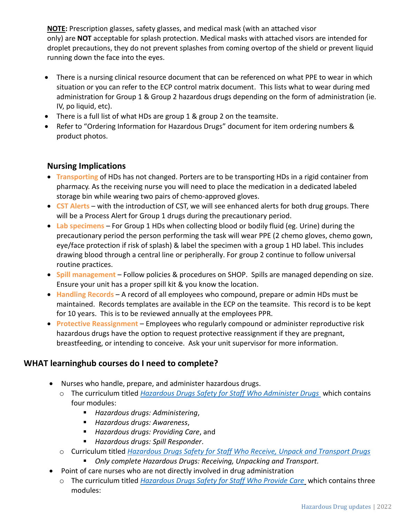**NOTE:** Prescription glasses, safety glasses, and medical mask (with an attached visor only) are **NOT** acceptable for splash protection. Medical masks with attached visors are intended for droplet precautions, they do not prevent splashes from coming overtop of the shield or prevent liquid running down the face into the eyes.

- There is a nursing clinical resource document that can be referenced on what PPE to wear in which situation or you can refer to the ECP control matrix document. This lists what to wear during med administration for Group 1 & Group 2 hazardous drugs depending on the form of administration (ie. IV, po liquid, etc).
- There is a full list of what HDs are group 1 & group 2 on the teamsite.
- Refer to "Ordering Information for Hazardous Drugs" document for item ordering numbers & product photos.

# **Nursing Implications**

- **Transporting** of HDs has not changed. Porters are to be transporting HDs in a rigid container from pharmacy. As the receiving nurse you will need to place the medication in a dedicated labeled storage bin while wearing two pairs of chemo-approved gloves.
- **CST Alerts** with the introduction of CST, we will see enhanced alerts for both drug groups. There will be a Process Alert for Group 1 drugs during the precautionary period.
- **Lab specimens** For Group 1 HDs when collecting blood or bodily fluid (eg. Urine) during the precautionary period the person performing the task will wear PPE (2 chemo gloves, chemo gown, eye/face protection if risk of splash) & label the specimen with a group 1 HD label. This includes drawing blood through a central line or peripherally. For group 2 continue to follow universal routine practices.
- **Spill management** Follow policies & procedures on SHOP. Spills are managed depending on size. Ensure your unit has a proper spill kit & you know the location.
- **Handling Records** A record of all employees who compound, prepare or admin HDs must be maintained. Records templates are available in the ECP on the teamsite. This record is to be kept for 10 years. This is to be reviewed annually at the employees PPR.
- **Protective Reassignment** Employees who regularly compound or administer reproductive risk hazardous drugs have the option to request protective reassignment if they are pregnant, breastfeeding, or intending to conceive. Ask your unit supervisor for more information.

# **WHAT learninghub courses do I need to complete?**

- Nurses who handle, prepare, and administer hazardous drugs.
	- o The curriculum titled *[Hazardous Drugs Safety for Staff Who Administer Drugs](https://learninghub.phsa.ca/Courses/27287/5-hazardous-drugs-safety-for-staff-who-administer-hazardous-drugs-new)* which contains four modules:
		- *Hazardous drugs: Administering*,
		- *Hazardous drugs: Awareness*,
		- *Hazardous drugs: Providing Care*, and
		- *Hazardous drugs: Spill Responder*.
	- o Curriculum titled *[Hazardous Drugs Safety for Staff Who Receive, Unpack and Transport Drugs](https://learninghub.phsa.ca/Courses/15952)*
		- *Only complete Hazardous Drugs: Receiving, Unpacking and Transport.*
- Point of care nurses who are not directly involved in drug administration
	- o The curriculum titled *[Hazardous Drugs Safety for Staff Who Provide Care](https://learninghub.phsa.ca/Courses/15951/2-hazardous-drugs-safety-for-staff-who-provide-care)* which contains three modules: